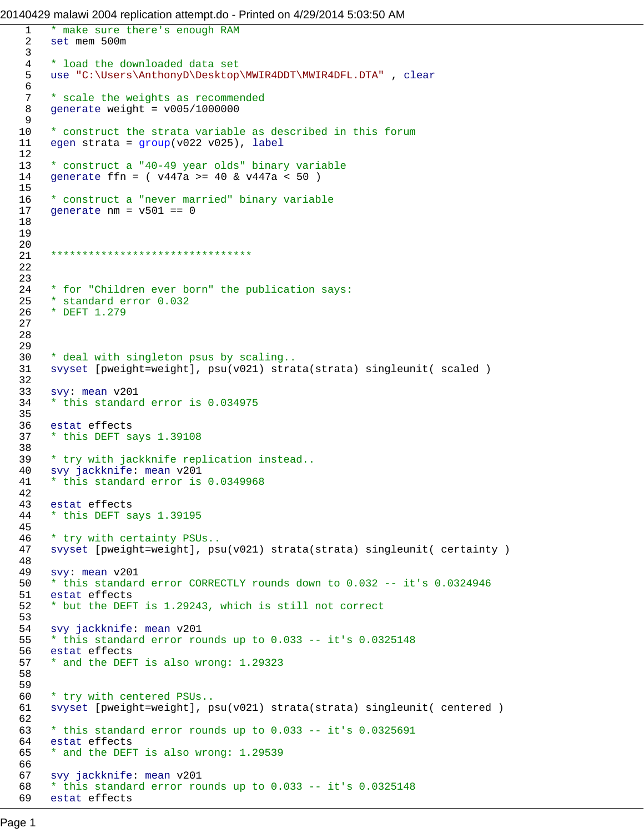20140429 malawi 2004 replication attempt.do - Printed on 4/29/2014 5:03:50 AM

1 \* make sure there's enough RAM

```
2 set mem 500m
 3 
 4 * load the downloaded data set
5 use "C:\Users\AnthonyD\Desktop\MWIR4DDT\MWIR4DFL.DTA" , clear
6<br>7
     * scale the weights as recommended
8 generate weight = v005/1000000
\frac{9}{10}* construct the strata variable as described in this forum
11 egen strata = group(v022 v025), label
12 
13 * construct a "40-49 year olds" binary variable
14 generate ffn = (v447a \ge 40 \& v447a \le 50)15 
16 * construct a "never married" binary variable
17 generate nm = v501 == 018 
19 
20 
21 ********************************
22 
23 
24 * for "Children ever born" the publication says:
25 * standard error 0.032
26 * DEFT 1.279
27 
28 
29 
30 * deal with singleton psus by scaling..
31 svyset [pweight=weight], psu(v021) strata(strata) singleunit( scaled )
32 
33 svy: mean v201
34 * this standard error is 0.034975
35 
36 estat effects
37 * this DEFT says 1.39108
38 
39 * try with jackknife replication instead..
40 svy jackknife: mean v201
41 * this standard error is 0.0349968
42 
43 estat effects
44 * this DEFT says 1.39195
45 
46 * try with certainty PSUs..<br>47 svyset [pweight=weight], ps
     svyset [pweight=weight], psu(v021) strata(strata) singleunit( certainty )
48 
49 svy: mean v201<br>50 * this standard
50 * this standard error CORRECTLY rounds down to 0.032 -- it's 0.0324946
     estat effects
52 * but the DEFT is 1.29243, which is still not correct
53 
54 svy jackknife: mean v201
55 * this standard error rounds up to 0.033 -- it's 0.0325148
56 estat effects
57 * and the DEFT is also wrong: 1.29323
58 
59 
60 * try with centered PSUs..
61 svyset [pweight=weight], psu(v021) strata(strata) singleunit( centered )
62 
63 * this standard error rounds up to 0.033 -- it's 0.0325691
64 estat effects
65 * and the DEFT is also wrong: 1.29539
66 
67 svy jackknife: mean v201
68 * this standard error rounds up to 0.033 -- it's 0.0325148
69 estat effects
```